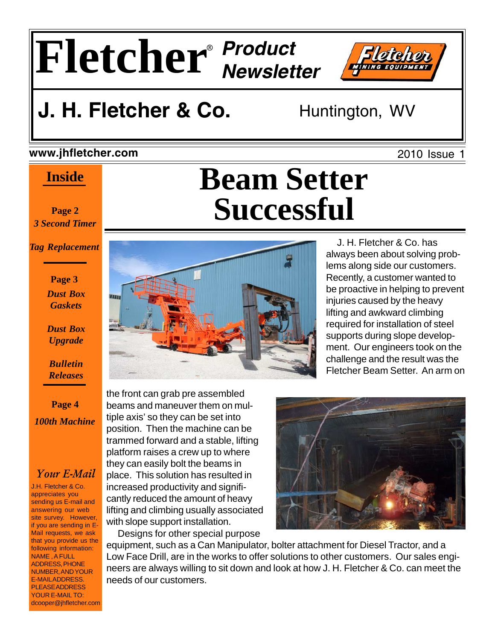

# **J. H. Fletcher & Co.** Huntington, WV

#### **www.jhfletcher.com**

### **Inside**

**Page 2** *3 Second Timer*

*Tag Replacement*

#### **Page 3** *Dust Box Gaskets*

*Dust Box Upgrade*

*Bulletin Releases*

**Page 4** *100th Machine*

#### *Your E-Mail*

J.H. Fletcher & Co. appreciates you sending us E-mail and answering our web site survey. However, if you are sending in E-Mail requests, we ask that you provide us the following information: NAME , A FULL ADDRESS, PHONE NUMBER, AND YOUR E-MAIL ADDRESS. PLEASE ADDRESS YOUR E-MAIL TO: dcooper@jhfletcher.com

# **Beam Setter Successful**



 J. H. Fletcher & Co. has always been about solving problems along side our customers. Recently, a customer wanted to be proactive in helping to prevent injuries caused by the heavy lifting and awkward climbing required for installation of steel supports during slope development. Our engineers took on the challenge and the result was the Fletcher Beam Setter. An arm on

the front can grab pre assembled beams and maneuver them on multiple axis' so they can be set into position. Then the machine can be trammed forward and a stable, lifting platform raises a crew up to where they can easily bolt the beams in place. This solution has resulted in increased productivity and significantly reduced the amount of heavy lifting and climbing usually associated with slope support installation.

Designs for other special purpose



equipment, such as a Can Manipulator, bolter attachment for Diesel Tractor, and a Low Face Drill, are in the works to offer solutions to other customers. Our sales engineers are always willing to sit down and look at how J. H. Fletcher & Co. can meet the needs of our customers.

2010 Issue 1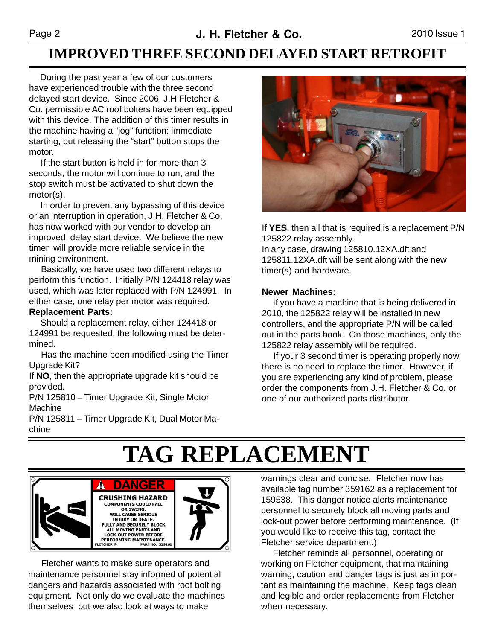### **IMPROVED THREE SECOND DELAYED START RETROFIT**

 During the past year a few of our customers have experienced trouble with the three second delayed start device. Since 2006, J.H Fletcher & Co. permissible AC roof bolters have been equipped with this device. The addition of this timer results in the machine having a "jog" function: immediate starting, but releasing the "start" button stops the motor.

 If the start button is held in for more than 3 seconds, the motor will continue to run, and the stop switch must be activated to shut down the motor(s).

 In order to prevent any bypassing of this device or an interruption in operation, J.H. Fletcher & Co. has now worked with our vendor to develop an improved delay start device. We believe the new timer will provide more reliable service in the mining environment.

 Basically, we have used two different relays to perform this function. Initially P/N 124418 relay was used, which was later replaced with P/N 124991. In either case, one relay per motor was required.

#### **Replacement Parts:**

 Should a replacement relay, either 124418 or 124991 be requested, the following must be determined.

 Has the machine been modified using the Timer Upgrade Kit?

If **NO**, then the appropriate upgrade kit should be provided.

P/N 125810 – Timer Upgrade Kit, Single Motor Machine

P/N 125811 – Timer Upgrade Kit, Dual Motor Machine



If **YES**, then all that is required is a replacement P/N 125822 relay assembly.

In any case, drawing 125810.12XA.dft and 125811.12XA.dft will be sent along with the new timer(s) and hardware.

#### **Newer Machines:**

 If you have a machine that is being delivered in 2010, the 125822 relay will be installed in new controllers, and the appropriate P/N will be called out in the parts book. On those machines, only the 125822 relay assembly will be required.

 If your 3 second timer is operating properly now, there is no need to replace the timer. However, if you are experiencing any kind of problem, please order the components from J.H. Fletcher & Co. or one of our authorized parts distributor.

# **TAG REPLACEMENT**



 Fletcher wants to make sure operators and maintenance personnel stay informed of potential dangers and hazards associated with roof bolting equipment. Not only do we evaluate the machines themselves but we also look at ways to make

warnings clear and concise. Fletcher now has available tag number 359162 as a replacement for 159538. This danger notice alerts maintenance personnel to securely block all moving parts and lock-out power before performing maintenance. (If you would like to receive this tag, contact the Fletcher service department.)

 Fletcher reminds all personnel, operating or working on Fletcher equipment, that maintaining warning, caution and danger tags is just as important as maintaining the machine. Keep tags clean and legible and order replacements from Fletcher when necessary.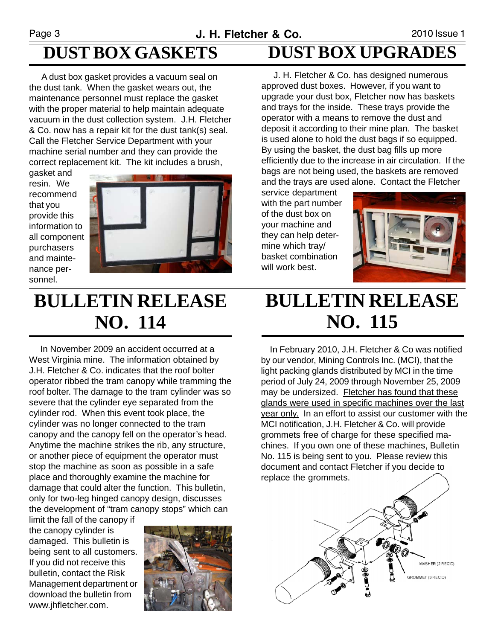## **DUST BOX GASKETS**

 A dust box gasket provides a vacuum seal on the dust tank. When the gasket wears out, the maintenance personnel must replace the gasket with the proper material to help maintain adequate vacuum in the dust collection system. J.H. Fletcher & Co. now has a repair kit for the dust tank(s) seal. Call the Fletcher Service Department with your machine serial number and they can provide the correct replacement kit. The kit includes a brush,

gasket and resin. We recommend that you provide this information to all component purchasers and maintenance personnel.



**DUST BOX UPGRADES**

 J. H. Fletcher & Co. has designed numerous approved dust boxes. However, if you want to upgrade your dust box, Fletcher now has baskets and trays for the inside. These trays provide the operator with a means to remove the dust and deposit it according to their mine plan. The basket is used alone to hold the dust bags if so equipped. By using the basket, the dust bag fills up more efficiently due to the increase in air circulation. If the bags are not being used, the baskets are removed and the trays are used alone. Contact the Fletcher

service department with the part number of the dust box on your machine and they can help determine which tray/ basket combination will work best.



# **BULLETIN RELEASE NO. 114**

 In November 2009 an accident occurred at a West Virginia mine. The information obtained by J.H. Fletcher & Co. indicates that the roof bolter operator ribbed the tram canopy while tramming the roof bolter. The damage to the tram cylinder was so severe that the cylinder eye separated from the cylinder rod. When this event took place, the cylinder was no longer connected to the tram canopy and the canopy fell on the operator's head. Anytime the machine strikes the rib, any structure, or another piece of equipment the operator must stop the machine as soon as possible in a safe place and thoroughly examine the machine for damage that could alter the function. This bulletin, only for two-leg hinged canopy design, discusses the development of "tram canopy stops" which can

limit the fall of the canopy if the canopy cylinder is damaged. This bulletin is being sent to all customers. If you did not receive this bulletin, contact the Risk Management department or download the bulletin from www.jhfletcher.com.



## **BULLETIN RELEASE NO. 115**

 In February 2010, J.H. Fletcher & Co was notified by our vendor, Mining Controls Inc. (MCI), that the light packing glands distributed by MCI in the time period of July 24, 2009 through November 25, 2009 may be undersized. Fletcher has found that these glands were used in specific machines over the last year only. In an effort to assist our customer with the MCI notification, J.H. Fletcher & Co. will provide grommets free of charge for these specified machines. If you own one of these machines, Bulletin No. 115 is being sent to you. Please review this document and contact Fletcher if you decide to replace the grommets.